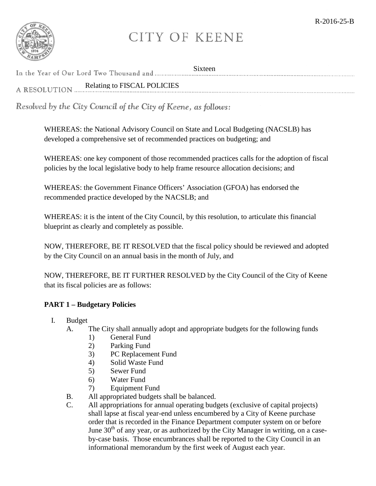

## **CITY OF KEENE**

|                                             | <b>Sixteen</b> |
|---------------------------------------------|----------------|
| Relating to FISCAL POLICIES<br>A RESOLUTION |                |

Resolved by the City Council of the City of Keene, as follows:

WHEREAS: the National Advisory Council on State and Local Budgeting (NACSLB) has developed a comprehensive set of recommended practices on budgeting; and

WHEREAS: one key component of those recommended practices calls for the adoption of fiscal policies by the local legislative body to help frame resource allocation decisions; and

WHEREAS: the Government Finance Officers' Association (GFOA) has endorsed the recommended practice developed by the NACSLB; and

WHEREAS: it is the intent of the City Council, by this resolution, to articulate this financial blueprint as clearly and completely as possible.

NOW, THEREFORE, BE IT RESOLVED that the fiscal policy should be reviewed and adopted by the City Council on an annual basis in the month of July, and

NOW, THEREFORE, BE IT FURTHER RESOLVED by the City Council of the City of Keene that its fiscal policies are as follows:

## **PART 1 – Budgetary Policies**

- I. Budget
	- A. The City shall annually adopt and appropriate budgets for the following funds
		- 1) General Fund
		- 2) Parking Fund
		- 3) PC Replacement Fund
		- 4) Solid Waste Fund
		- 5) Sewer Fund
		- 6) Water Fund
		- 7) Equipment Fund
	- B. All appropriated budgets shall be balanced.
	- C. All appropriations for annual operating budgets (exclusive of capital projects) shall lapse at fiscal year-end unless encumbered by a City of Keene purchase order that is recorded in the Finance Department computer system on or before June  $30<sup>th</sup>$  of any year, or as authorized by the City Manager in writing, on a caseby-case basis. Those encumbrances shall be reported to the City Council in an informational memorandum by the first week of August each year.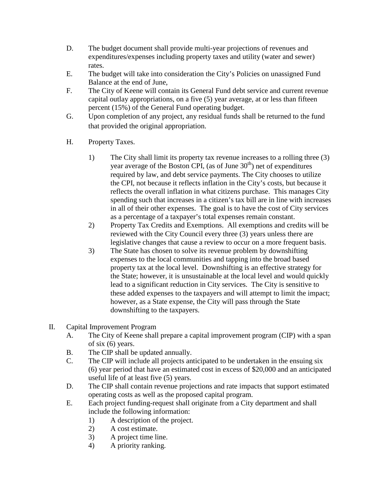- D. The budget document shall provide multi-year projections of revenues and expenditures/expenses including property taxes and utility (water and sewer) rates.
- E. The budget will take into consideration the City's Policies on unassigned Fund Balance at the end of June,
- F. The City of Keene will contain its General Fund debt service and current revenue capital outlay appropriations, on a five (5) year average, at or less than fifteen percent (15%) of the General Fund operating budget.
- G. Upon completion of any project, any residual funds shall be returned to the fund that provided the original appropriation.
- H. Property Taxes.
	- 1) The City shall limit its property tax revenue increases to a rolling three (3) year average of the Boston CPI, (as of June  $30<sup>th</sup>$ ) net of expenditures required by law, and debt service payments. The City chooses to utilize the CPI, not because it reflects inflation in the City's costs, but because it reflects the overall inflation in what citizens purchase. This manages City spending such that increases in a citizen's tax bill are in line with increases in all of their other expenses. The goal is to have the cost of City services as a percentage of a taxpayer's total expenses remain constant.
	- 2) Property Tax Credits and Exemptions. All exemptions and credits will be reviewed with the City Council every three (3) years unless there are legislative changes that cause a review to occur on a more frequent basis.
	- 3) The State has chosen to solve its revenue problem by downshifting expenses to the local communities and tapping into the broad based property tax at the local level. Downshifting is an effective strategy for the State; however, it is unsustainable at the local level and would quickly lead to a significant reduction in City services. The City is sensitive to these added expenses to the taxpayers and will attempt to limit the impact; however, as a State expense, the City will pass through the State downshifting to the taxpayers.
- II. Capital Improvement Program
	- A. The City of Keene shall prepare a capital improvement program (CIP) with a span of six (6) years.
	- B. The CIP shall be updated annually.
	- C. The CIP will include all projects anticipated to be undertaken in the ensuing six (6) year period that have an estimated cost in excess of \$20,000 and an anticipated useful life of at least five (5) years.
	- D. The CIP shall contain revenue projections and rate impacts that support estimated operating costs as well as the proposed capital program.
	- E. Each project funding-request shall originate from a City department and shall include the following information:
		- 1) A description of the project.
		- 2) A cost estimate.
		- 3) A project time line.
		- 4) A priority ranking.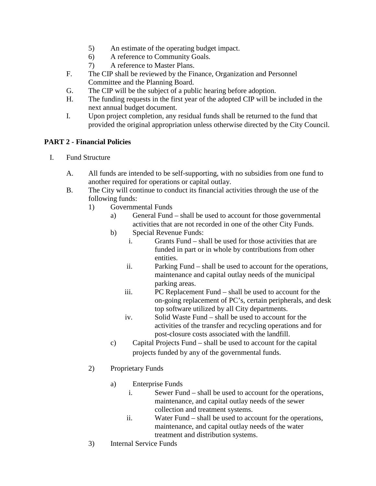- 5) An estimate of the operating budget impact.
- 6) A reference to Community Goals.
- 7) A reference to Master Plans.
- F. The CIP shall be reviewed by the Finance, Organization and Personnel Committee and the Planning Board.
- G. The CIP will be the subject of a public hearing before adoption.
- H. The funding requests in the first year of the adopted CIP will be included in the next annual budget document.
- I. Upon project completion, any residual funds shall be returned to the fund that provided the original appropriation unless otherwise directed by the City Council.

## **PART 2 - Financial Policies**

- I. Fund Structure
	- A. All funds are intended to be self-supporting, with no subsidies from one fund to another required for operations or capital outlay.
	- B. The City will continue to conduct its financial activities through the use of the following funds:
		- 1) Governmental Funds
			- a) General Fund shall be used to account for those governmental activities that are not recorded in one of the other City Funds.
			- b) Special Revenue Funds:
				- i. Grants Fund shall be used for those activities that are funded in part or in whole by contributions from other entities.
				- ii. Parking Fund shall be used to account for the operations, maintenance and capital outlay needs of the municipal parking areas.
				- iii. PC Replacement Fund shall be used to account for the on-going replacement of PC's, certain peripherals, and desk top software utilized by all City departments.
				- iv. Solid Waste Fund shall be used to account for the activities of the transfer and recycling operations and for post-closure costs associated with the landfill.
			- c) Capital Projects Fund shall be used to account for the capital projects funded by any of the governmental funds.
		- 2) Proprietary Funds
			- a) Enterprise Funds
				- i. Sewer Fund shall be used to account for the operations, maintenance, and capital outlay needs of the sewer collection and treatment systems.
				- ii. Water Fund shall be used to account for the operations, maintenance, and capital outlay needs of the water treatment and distribution systems.
		- 3) Internal Service Funds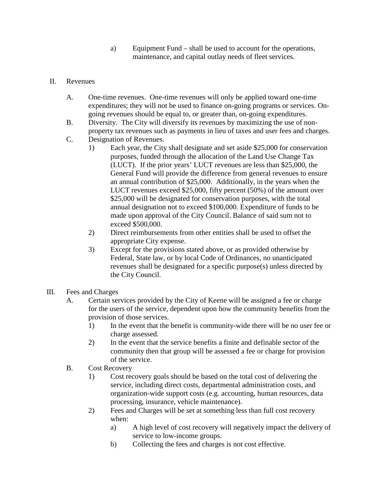- a) Equipment Fund shall be used to account for the operations, maintenance, and capital outlay needs of fleet services.
- II. Revenues
	- A. One-time revenues. One-time revenues will only be applied toward one-time expenditures; they will not be used to finance on-going programs or services. Ongoing revenues should be equal to, or greater than, on-going expenditures.
	- B. Diversity. The City will diversify its revenues by maximizing the use of nonproperty tax revenues such as payments in lieu of taxes and user fees and charges.
	- C. Designation of Revenues.
		- 1) Each year, the City shall designate and set aside \$25,000 for conservation purposes, funded through the allocation of the Land Use Change Tax (LUCT). If the prior years' LUCT revenues are less than \$25,000, the General Fund will provide the difference from general revenues to ensure an annual contribution of \$25,000. Additionally, in the years when the LUCT revenues exceed \$25,000, fifty percent (50%) of the amount over \$25,000 will be designated for conservation purposes, with the total annual designation not to exceed \$100,000. Expenditure of funds to be made upon approval of the City Council. Balance of said sum not to exceed \$500,000.
		- 2) Direct reimbursements from other entities shall be used to offset the appropriate City expense.
		- 3) Except for the provisions stated above, or as provided otherwise by Federal, State law, or by local Code of Ordinances, no unanticipated revenues shall be designated for a specific purpose(s) unless directed by the City Council.
- III. Fees and Charges
	- A. Certain services provided by the City of Keene will be assigned a fee or charge for the users of the service, dependent upon how the community benefits from the provision of those services.
		- 1) In the event that the benefit is community-wide there will be no user fee or charge assessed.
		- 2) In the event that the service benefits a finite and definable sector of the community then that group will be assessed a fee or charge for provision of the service.
	- B. Cost Recovery
		- 1) Cost recovery goals should be based on the total cost of delivering the service, including direct costs, departmental administration costs, and organization-wide support costs (e.g. accounting, human resources, data processing, insurance, vehicle maintenance).
		- 2) Fees and Charges will be set at something less than full cost recovery when:
			- a) A high level of cost recovery will negatively impact the delivery of service to low-income groups.
			- b) Collecting the fees and charges is not cost effective.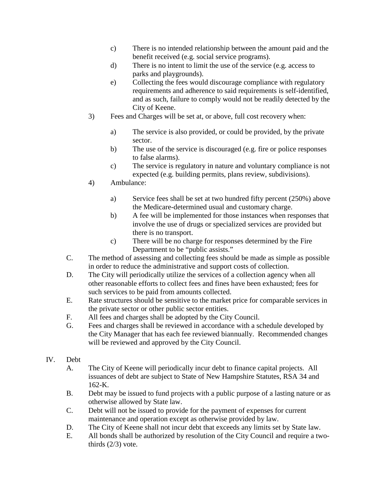- c) There is no intended relationship between the amount paid and the benefit received (e.g. social service programs).
- d) There is no intent to limit the use of the service (e.g. access to parks and playgrounds).
- e) Collecting the fees would discourage compliance with regulatory requirements and adherence to said requirements is self-identified, and as such, failure to comply would not be readily detected by the City of Keene.
- 3) Fees and Charges will be set at, or above, full cost recovery when:
	- a) The service is also provided, or could be provided, by the private sector.
	- b) The use of the service is discouraged (e.g. fire or police responses to false alarms).
	- c) The service is regulatory in nature and voluntary compliance is not expected (e.g. building permits, plans review, subdivisions).
- 4) Ambulance:
	- a) Service fees shall be set at two hundred fifty percent (250%) above the Medicare-determined usual and customary charge.
	- b) A fee will be implemented for those instances when responses that involve the use of drugs or specialized services are provided but there is no transport.
	- c) There will be no charge for responses determined by the Fire Department to be "public assists."
- C. The method of assessing and collecting fees should be made as simple as possible in order to reduce the administrative and support costs of collection.
- D. The City will periodically utilize the services of a collection agency when all other reasonable efforts to collect fees and fines have been exhausted; fees for such services to be paid from amounts collected.
- E. Rate structures should be sensitive to the market price for comparable services in the private sector or other public sector entities.
- F. All fees and charges shall be adopted by the City Council.
- G. Fees and charges shall be reviewed in accordance with a schedule developed by the City Manager that has each fee reviewed biannually. Recommended changes will be reviewed and approved by the City Council.
- IV. Debt
	- A. The City of Keene will periodically incur debt to finance capital projects. All issuances of debt are subject to State of New Hampshire Statutes, RSA 34 and 162-K.
	- B. Debt may be issued to fund projects with a public purpose of a lasting nature or as otherwise allowed by State law.
	- C. Debt will not be issued to provide for the payment of expenses for current maintenance and operation except as otherwise provided by law.
	- D. The City of Keene shall not incur debt that exceeds any limits set by State law.
	- E. All bonds shall be authorized by resolution of the City Council and require a twothirds  $(2/3)$  vote.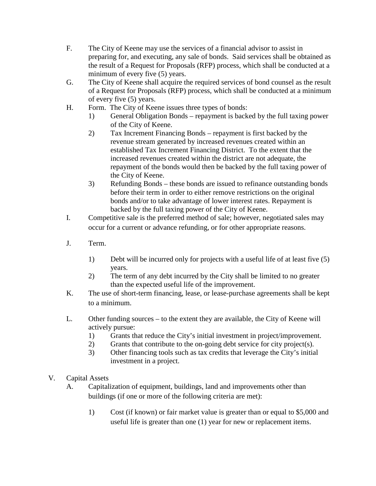- F. The City of Keene may use the services of a financial advisor to assist in preparing for, and executing, any sale of bonds. Said services shall be obtained as the result of a Request for Proposals (RFP) process, which shall be conducted at a minimum of every five (5) years.
- G. The City of Keene shall acquire the required services of bond counsel as the result of a Request for Proposals (RFP) process, which shall be conducted at a minimum of every five (5) years.
- H. Form. The City of Keene issues three types of bonds:
	- 1) General Obligation Bonds repayment is backed by the full taxing power of the City of Keene.
	- 2) Tax Increment Financing Bonds repayment is first backed by the revenue stream generated by increased revenues created within an established Tax Increment Financing District. To the extent that the increased revenues created within the district are not adequate, the repayment of the bonds would then be backed by the full taxing power of the City of Keene.
	- 3) Refunding Bonds these bonds are issued to refinance outstanding bonds before their term in order to either remove restrictions on the original bonds and/or to take advantage of lower interest rates. Repayment is backed by the full taxing power of the City of Keene.
- I. Competitive sale is the preferred method of sale; however, negotiated sales may occur for a current or advance refunding, or for other appropriate reasons.
- J. Term.
	- 1) Debt will be incurred only for projects with a useful life of at least five (5) years.
	- 2) The term of any debt incurred by the City shall be limited to no greater than the expected useful life of the improvement.
- K. The use of short-term financing, lease, or lease-purchase agreements shall be kept to a minimum.
- L. Other funding sources to the extent they are available, the City of Keene will actively pursue:
	- 1) Grants that reduce the City's initial investment in project/improvement.
	- 2) Grants that contribute to the on-going debt service for city project(s).
	- 3) Other financing tools such as tax credits that leverage the City's initial investment in a project.
- V. Capital Assets
	- A. Capitalization of equipment, buildings, land and improvements other than buildings (if one or more of the following criteria are met):
		- 1) Cost (if known) or fair market value is greater than or equal to \$5,000 and useful life is greater than one (1) year for new or replacement items.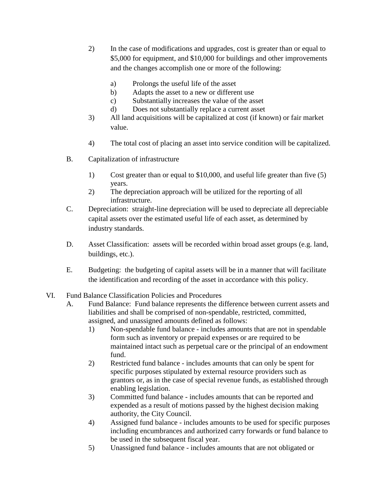- 2) In the case of modifications and upgrades, cost is greater than or equal to \$5,000 for equipment, and \$10,000 for buildings and other improvements and the changes accomplish one or more of the following:
	- a) Prolongs the useful life of the asset
	- b) Adapts the asset to a new or different use
	- c) Substantially increases the value of the asset
	- d) Does not substantially replace a current asset
- 3) All land acquisitions will be capitalized at cost (if known) or fair market value.
- 4) The total cost of placing an asset into service condition will be capitalized.
- B. Capitalization of infrastructure
	- 1) Cost greater than or equal to \$10,000, and useful life greater than five (5) years.
	- 2) The depreciation approach will be utilized for the reporting of all infrastructure.
- C. Depreciation: straight-line depreciation will be used to depreciate all depreciable capital assets over the estimated useful life of each asset, as determined by industry standards.
- D. Asset Classification: assets will be recorded within broad asset groups (e.g. land, buildings, etc.).
- E. Budgeting: the budgeting of capital assets will be in a manner that will facilitate the identification and recording of the asset in accordance with this policy.
- VI. Fund Balance Classification Policies and Procedures
	- A. Fund Balance: Fund balance represents the difference between current assets and liabilities and shall be comprised of non-spendable, restricted, committed, assigned, and unassigned amounts defined as follows:
		- 1) Non-spendable fund balance includes amounts that are not in spendable form such as inventory or prepaid expenses or are required to be maintained intact such as perpetual care or the principal of an endowment fund.
		- 2) Restricted fund balance includes amounts that can only be spent for specific purposes stipulated by external resource providers such as grantors or, as in the case of special revenue funds, as established through enabling legislation.
		- 3) Committed fund balance includes amounts that can be reported and expended as a result of motions passed by the highest decision making authority, the City Council.
		- 4) Assigned fund balance includes amounts to be used for specific purposes including encumbrances and authorized carry forwards or fund balance to be used in the subsequent fiscal year.
		- 5) Unassigned fund balance includes amounts that are not obligated or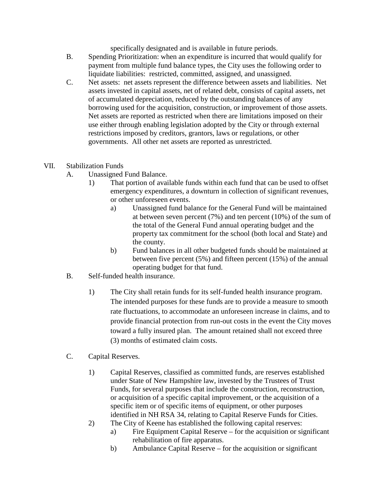specifically designated and is available in future periods.

- B. Spending Prioritization: when an expenditure is incurred that would qualify for payment from multiple fund balance types, the City uses the following order to liquidate liabilities: restricted, committed, assigned, and unassigned.
- C. Net assets: net assets represent the difference between assets and liabilities. Net assets invested in capital assets, net of related debt, consists of capital assets, net of accumulated depreciation, reduced by the outstanding balances of any borrowing used for the acquisition, construction, or improvement of those assets. Net assets are reported as restricted when there are limitations imposed on their use either through enabling legislation adopted by the City or through external restrictions imposed by creditors, grantors, laws or regulations, or other governments. All other net assets are reported as unrestricted.
- VII. Stabilization Funds
	- A. Unassigned Fund Balance.
		- 1) That portion of available funds within each fund that can be used to offset emergency expenditures, a downturn in collection of significant revenues, or other unforeseen events.
			- a) Unassigned fund balance for the General Fund will be maintained at between seven percent (7%) and ten percent (10%) of the sum of the total of the General Fund annual operating budget and the property tax commitment for the school (both local and State) and the county.
			- b) Fund balances in all other budgeted funds should be maintained at between five percent (5%) and fifteen percent (15%) of the annual operating budget for that fund.
	- B. Self-funded health insurance.
		- 1) The City shall retain funds for its self-funded health insurance program. The intended purposes for these funds are to provide a measure to smooth rate fluctuations, to accommodate an unforeseen increase in claims, and to provide financial protection from run-out costs in the event the City moves toward a fully insured plan. The amount retained shall not exceed three (3) months of estimated claim costs.
	- C. Capital Reserves.
		- 1) Capital Reserves, classified as committed funds, are reserves established under State of New Hampshire law, invested by the Trustees of Trust Funds, for several purposes that include the construction, reconstruction, or acquisition of a specific capital improvement, or the acquisition of a specific item or of specific items of equipment, or other purposes identified in NH RSA 34, relating to Capital Reserve Funds for Cities.
		- 2) The City of Keene has established the following capital reserves:
			- a) Fire Equipment Capital Reserve for the acquisition or significant rehabilitation of fire apparatus.
			- b) Ambulance Capital Reserve for the acquisition or significant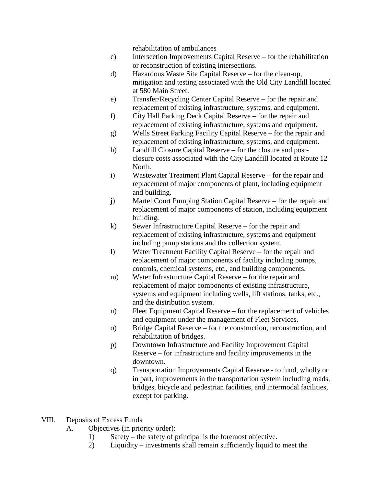rehabilitation of ambulances

- c) Intersection Improvements Capital Reserve for the rehabilitation or reconstruction of existing intersections.
- d) Hazardous Waste Site Capital Reserve for the clean-up, mitigation and testing associated with the Old City Landfill located at 580 Main Street.
- e) Transfer/Recycling Center Capital Reserve for the repair and replacement of existing infrastructure, systems, and equipment.
- f) City Hall Parking Deck Capital Reserve for the repair and replacement of existing infrastructure, systems and equipment.
- g) Wells Street Parking Facility Capital Reserve for the repair and replacement of existing infrastructure, systems, and equipment.
- h) Landfill Closure Capital Reserve for the closure and postclosure costs associated with the City Landfill located at Route 12 North.
- i) Wastewater Treatment Plant Capital Reserve for the repair and replacement of major components of plant, including equipment and building.
- j) Martel Court Pumping Station Capital Reserve for the repair and replacement of major components of station, including equipment building.
- k) Sewer Infrastructure Capital Reserve for the repair and replacement of existing infrastructure, systems and equipment including pump stations and the collection system.
- l) Water Treatment Facility Capital Reserve for the repair and replacement of major components of facility including pumps, controls, chemical systems, etc., and building components.
- m) Water Infrastructure Capital Reserve for the repair and replacement of major components of existing infrastructure, systems and equipment including wells, lift stations, tanks, etc., and the distribution system.
- n) Fleet Equipment Capital Reserve for the replacement of vehicles and equipment under the management of Fleet Services.
- o) Bridge Capital Reserve for the construction, reconstruction, and rehabilitation of bridges.
- p) Downtown Infrastructure and Facility Improvement Capital Reserve – for infrastructure and facility improvements in the downtown.
- q) Transportation Improvements Capital Reserve to fund, wholly or in part, improvements in the transportation system including roads, bridges, bicycle and pedestrian facilities, and intermodal facilities, except for parking.
- VIII. Deposits of Excess Funds
	- A. Objectives (in priority order):
		- 1) Safety the safety of principal is the foremost objective.
		- 2) Liquidity investments shall remain sufficiently liquid to meet the